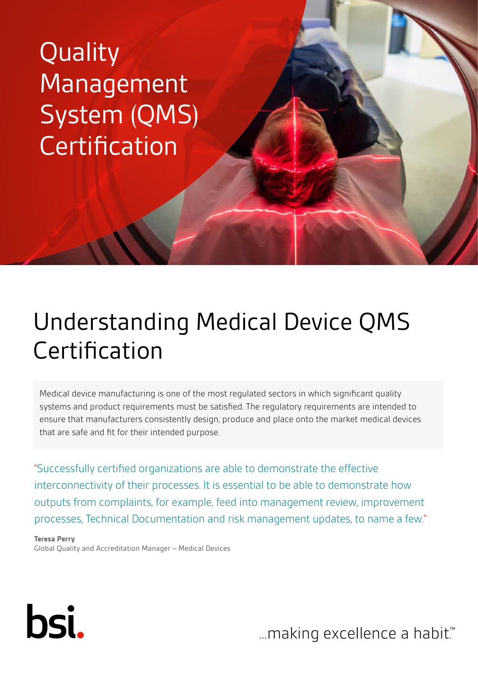**Quality** Management System (QMS) **Certification** 

# Understanding Medical Device QMS Certification

Medical device manufacturing is one of the most regulated sectors in which significant quality systems and product requirements must be satisfied. The regulatory requirements are intended to ensure that manufacturers consistently design, produce and place onto the market medical devices that are safe and fit for their intended purpose.

"Successfully certified organizations are able to demonstrate the effective interconnectivity of their processes. It is essential to be able to demonstrate how outputs from complaints, for example, feed into management review, improvement processes, Technical Documentation and risk management updates, to name a few."

**Teresa Perry** Global Quality and Accreditation Manager – Medical Devices



... making excellence a habit.<sup>™</sup>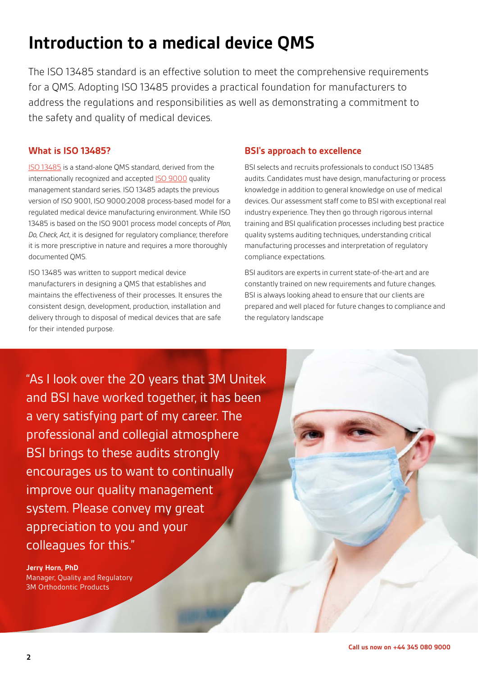# **Introduction to a medical device QMS**

The ISO 13485 standard is an effective solution to meet the comprehensive requirements for a QMS. Adopting ISO 13485 provides a practical foundation for manufacturers to address the regulations and responsibilities as well as demonstrating a commitment to the safety and quality of medical devices.

#### **What is ISO 13485?**

[ISO 13485](https://www.bsigroup.com/en-GB/medical-devices/our-services/iso-13485/) is a stand-alone QMS standard, derived from the internationally recognized and accepted **[ISO 9000](https://www.bsigroup.com/en-GB/iso-9001-quality-management/)** quality management standard series. ISO 13485 adapts the previous version of ISO 9001, ISO 9000:2008 process-based model for a regulated medical device manufacturing environment. While ISO 13485 is based on the ISO 9001 process model concepts of *Plan, Do, Check, Act*, it is designed for regulatory compliance; therefore it is more prescriptive in nature and requires a more thoroughly documented QMS.

ISO 13485 was written to support medical device manufacturers in designing a QMS that establishes and maintains the effectiveness of their processes. It ensures the consistent design, development, production, installation and delivery through to disposal of medical devices that are safe for their intended purpose.

#### **BSI's approach to excellence**

BSI selects and recruits professionals to conduct ISO 13485 audits. Candidates must have design, manufacturing or process knowledge in addition to general knowledge on use of medical devices. Our assessment staff come to BSI with exceptional real industry experience. They then go through rigorous internal training and BSI qualification processes including best practice quality systems auditing techniques, understanding critical manufacturing processes and interpretation of regulatory compliance expectations.

BSI auditors are experts in current state-of-the-art and are constantly trained on new requirements and future changes. BSI is always looking ahead to ensure that our clients are prepared and well placed for future changes to compliance and the regulatory landscape

"As I look over the 20 years that 3M Unitek and BSI have worked together, it has been a very satisfying part of my career. The professional and collegial atmosphere BSI brings to these audits strongly encourages us to want to continually improve our quality management system. Please convey my great appreciation to you and your colleagues for this."

**Jerry Horn, PhD** Manager, Quality and Regulatory 3M Orthodontic Products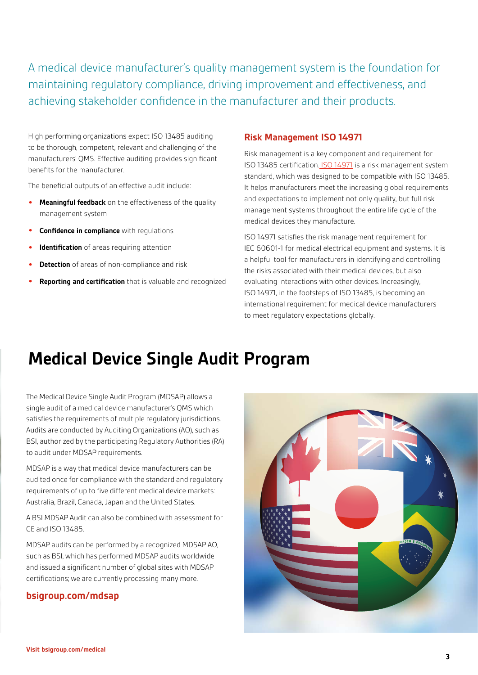A medical device manufacturer's quality management system is the foundation for maintaining regulatory compliance, driving improvement and effectiveness, and achieving stakeholder confidence in the manufacturer and their products.

High performing organizations expect ISO 13485 auditing to be thorough, competent, relevant and challenging of the manufacturers' QMS. Effective auditing provides significant benefits for the manufacturer.

The beneficial outputs of an effective audit include:

- **Meaningful feedback** on the effectiveness of the quality management system
- **Confidence in compliance** with regulations
- **Identification** of areas requiring attention
- **Detection** of areas of non-compliance and risk
- **Reporting and certification** that is valuable and recognized

#### **Risk Management ISO 14971**

Risk management is a key component and requirement for ISO 13485 certification. [ISO 14971](https://www.bsigroup.com/en-gb/medical-devices/our-services/iso-14971/) is a risk management system standard, which was designed to be compatible with ISO 13485. It helps manufacturers meet the increasing global requirements and expectations to implement not only quality, but full risk management systems throughout the entire life cycle of the medical devices they manufacture.

ISO 14971 satisfies the risk management requirement for IEC 60601-1 for medical electrical equipment and systems. It is a helpful tool for manufacturers in identifying and controlling the risks associated with their medical devices, but also evaluating interactions with other devices. Increasingly, ISO 14971, in the footsteps of ISO 13485, is becoming an international requirement for medical device manufacturers to meet regulatory expectations globally.

### **Medical Device Single Audit Program**

The Medical Device Single Audit Program (MDSAP) allows a single audit of a medical device manufacturer's QMS which satisfies the requirements of multiple regulatory jurisdictions. Audits are conducted by Auditing Organizations (AO), such as BSI, authorized by the participating Regulatory Authorities (RA) to audit under MDSAP requirements.

MDSAP is a way that medical device manufacturers can be audited once for compliance with the standard and regulatory requirements of up to five different medical device markets: Australia, Brazil, Canada, Japan and the United States.

A BSI MDSAP Audit can also be combined with assessment for CE and ISO 13485.

MDSAP audits can be performed by a recognized MDSAP AO, such as BSI, which has performed MDSAP audits worldwide and issued a significant number of global sites with MDSAP certifications; we are currently processing many more.

#### **[bsigroup.com/mdsap](https://bsigroup.com/mdsap)**

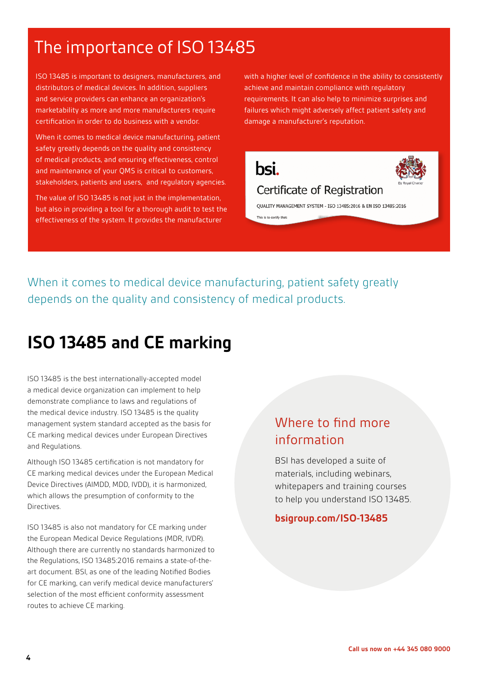### The importance of ISO 13485

ISO 13485 is important to designers, manufacturers, and distributors of medical devices. In addition, suppliers and service providers can enhance an organization's marketability as more and more manufacturers require certification in order to do business with a vendor.

When it comes to medical device manufacturing, patient safety greatly depends on the quality and consistency of medical products, and ensuring effectiveness, control and maintenance of your QMS is critical to customers, stakeholders, patients and users, and regulatory agencies.

The value of ISO 13485 is not just in the implementation, but also in providing a tool for a thorough audit to test the effectiveness of the system. It provides the manufacturer

with a higher level of confidence in the ability to consistently achieve and maintain compliance with regulatory requirements. It can also help to minimize surprises and failures which might adversely affect patient safety and damage a manufacturer's reputation.

# bsi.



### Certificate of Registration

QUALITY MANAGEMENT SYSTEM - ISO 13485:2016 & EN ISO 13485:2016 This is to certify that

When it comes to medical device manufacturing, patient safety greatly depends on the quality and consistency of medical products.

### **ISO 13485 and CE marking**

ISO 13485 is the best internationally-accepted model a medical device organization can implement to help demonstrate compliance to laws and regulations of the medical device industry. ISO 13485 is the quality management system standard accepted as the basis for CE marking medical devices under European Directives and Regulations.

Although ISO 13485 certification is not mandatory for CE marking medical devices under the European Medical Device Directives (AIMDD, MDD, IVDD), it is harmonized, which allows the presumption of conformity to the Directives.

ISO 13485 is also not mandatory for CE marking under the European Medical Device Regulations (MDR, IVDR). Although there are currently no standards harmonized to the Regulations, ISO 13485:2016 remains a state-of-theart document. BSI, as one of the leading Notified Bodies for CE marking, can verify medical device manufacturers' selection of the most efficient conformity assessment routes to achieve CE marking.

### Where to find more information

BSI has developed a suite of materials, including webinars, whitepapers and training courses to help you understand ISO 13485.

#### **[bsigroup.com/ISO-13485](https://bsigroup.com/ISO-13485)**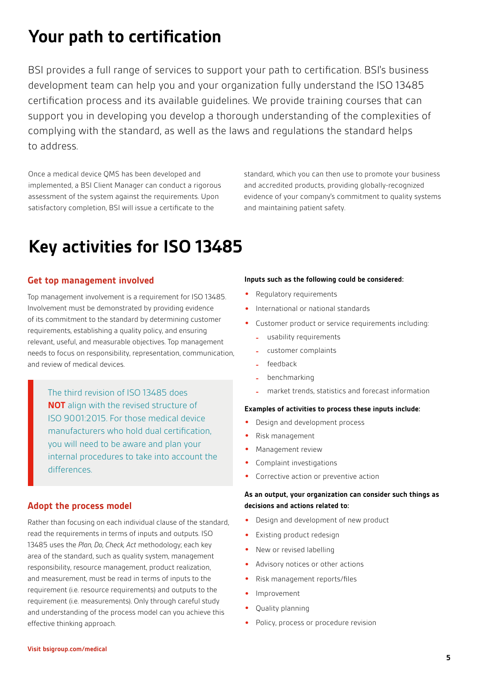### **Your path to certification**

BSI provides a full range of services to support your path to certification. BSI's business development team can help you and your organization fully understand the ISO 13485 certification process and its available guidelines. We provide training courses that can support you in developing you develop a thorough understanding of the complexities of complying with the standard, as well as the laws and regulations the standard helps to address.

Once a medical device QMS has been developed and implemented, a BSI Client Manager can conduct a rigorous assessment of the system against the requirements. Upon satisfactory completion, BSI will issue a certificate to the

standard, which you can then use to promote your business and accredited products, providing globally-recognized evidence of your company's commitment to quality systems and maintaining patient safety.

### **Key activities for ISO 13485**

#### **Get top management involved**

Top management involvement is a requirement for ISO 13485. Involvement must be demonstrated by providing evidence of its commitment to the standard by determining customer requirements, establishing a quality policy, and ensuring relevant, useful, and measurable objectives. Top management needs to focus on responsibility, representation, communication, and review of medical devices.

The third revision of ISO 13485 does **NOT** align with the revised structure of ISO 9001:2015. For those medical device manufacturers who hold dual certification, you will need to be aware and plan your internal procedures to take into account the differences.

#### **Adopt the process model**

Rather than focusing on each individual clause of the standard, read the requirements in terms of inputs and outputs. ISO 13485 uses the *Plan, Do, Check, Act* methodology; each key area of the standard, such as quality system, management responsibility, resource management, product realization, and measurement, must be read in terms of inputs to the requirement (i.e. resource requirements) and outputs to the requirement (i.e. measurements). Only through careful study and understanding of the process model can you achieve this effective thinking approach.

#### **Inputs such as the following could be considered:**

- Requlatory requirements
- International or national standards
- Customer product or service requirements including:
	- **-** usability requirements
	- **-** customer complaints
	- **-** feedback
	- **-** benchmarking
	- **-** market trends, statistics and forecast information

#### **Examples of activities to process these inputs include:**

- Design and development process
- Risk management
- Management review
- Complaint investigations
- Corrective action or preventive action

#### **As an output, your organization can consider such things as decisions and actions related to:**

- Design and development of new product
- Existing product redesign
- New or revised labelling
- Advisory notices or other actions
- Risk management reports/files
- Improvement
- Quality planning
- Policy, process or procedure revision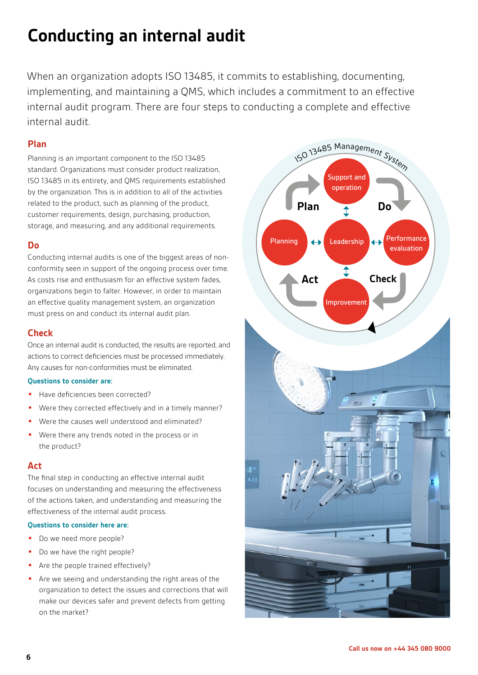### **Conducting an internal audit**

When an organization adopts ISO 13485, it commits to establishing, documenting, implementing, and maintaining a QMS, which includes a commitment to an effective internal audit program. There are four steps to conducting a complete and effective internal audit.

#### **Plan**

Planning is an important component to the ISO 13485 standard. Organizations must consider product realization, ISO 13485 in its entirety, and QMS requirements established by the organization. This is in addition to all of the activities related to the product, such as planning of the product, customer requirements, design, purchasing, production, storage, and measuring, and any additional requirements.

#### **Do**

Conducting internal audits is one of the biggest areas of nonconformity seen in support of the ongoing process over time. As costs rise and enthusiasm for an effective system fades, organizations begin to falter. However, in order to maintain an effective quality management system, an organization must press on and conduct its internal audit plan.

#### **Check**

Once an internal audit is conducted, the results are reported, and actions to correct deficiencies must be processed immediately. Any causes for non-conformities must be eliminated.

#### **Questions to consider are:**

- Have deficiencies been corrected?
- Were they corrected effectively and in a timely manner?
- Were the causes well understood and eliminated?
- Were there any trends noted in the process or in the product?

#### **Act**

The final step in conducting an effective internal audit focuses on understanding and measuring the effectiveness of the actions taken, and understanding and measuring the effectiveness of the internal audit process.

#### **Questions to consider here are:**

- Do we need more people?
- Do we have the right people?
- Are the people trained effectively?
- Are we seeing and understanding the right areas of the organization to detect the issues and corrections that will make our devices safer and prevent defects from getting on the market?

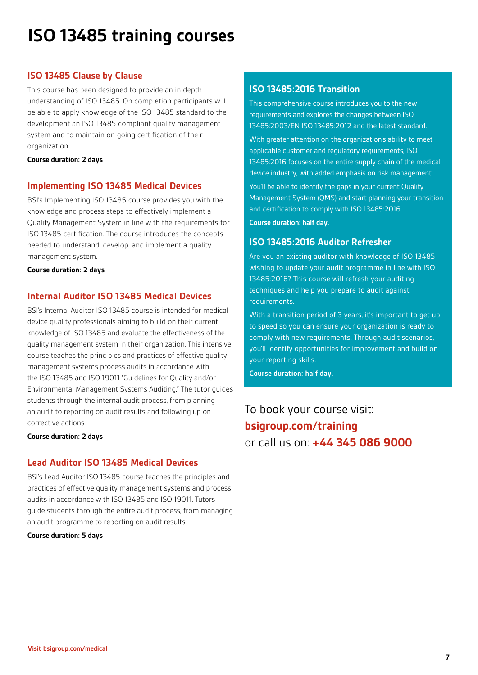# **ISO 13485 training courses**

#### **ISO 13485 Clause by Clause**

This course has been designed to provide an in depth understanding of ISO 13485. On completion participants will be able to apply knowledge of the ISO 13485 standard to the development an ISO 13485 compliant quality management system and to maintain on going certification of their organization.

#### **Course duration: 2 days**

#### **Implementing ISO 13485 Medical Devices**

BSI's Implementing ISO 13485 course provides you with the knowledge and process steps to effectively implement a Quality Management System in line with the requirements for ISO 13485 certification. The course introduces the concepts needed to understand, develop, and implement a quality management system.

**Course duration: 2 days**

#### **Internal Auditor ISO 13485 Medical Devices**

BSI's Internal Auditor ISO 13485 course is intended for medical device quality professionals aiming to build on their current knowledge of ISO 13485 and evaluate the effectiveness of the quality management system in their organization. This intensive course teaches the principles and practices of effective quality management systems process audits in accordance with the ISO 13485 and ISO 19011 "Guidelines for Quality and/or Environmental Management Systems Auditing." The tutor guides students through the internal audit process, from planning an audit to reporting on audit results and following up on corrective actions.

**Course duration: 2 days**

#### **Lead Auditor ISO 13485 Medical Devices**

BSI's Lead Auditor ISO 13485 course teaches the principles and practices of effective quality management systems and process audits in accordance with ISO 13485 and ISO 19011. Tutors guide students through the entire audit process, from managing an audit programme to reporting on audit results.

**Course duration: 5 days**

#### **ISO 13485:2016 Transition**

This comprehensive course introduces you to the new requirements and explores the changes between ISO 13485:2003/EN ISO 13485:2012 and the latest standard.

With greater attention on the organization's ability to meet applicable customer and regulatory requirements, ISO 13485:2016 focuses on the entire supply chain of the medical device industry, with added emphasis on risk management.

You'll be able to identify the gaps in your current Quality Management System (QMS) and start planning your transition and certification to comply with ISO 13485:2016.

**Course duration: half day.**

#### **ISO 13485:2016 Auditor Refresher**

Are you an existing auditor with knowledge of ISO 13485 wishing to update your audit programme in line with ISO 13485:2016? This course will refresh your auditing techniques and help you prepare to audit against requirements.

With a transition period of 3 years, it's important to get up to speed so you can ensure your organization is ready to comply with new requirements. Through audit scenarios, you'll identify opportunities for improvement and build on your reporting skills.

**Course duration: half day.**

To book your course visit: **[bsigroup.com/t](http://www.bsigroup.com/training)raining** or call us on: **+44 345 086 9000**